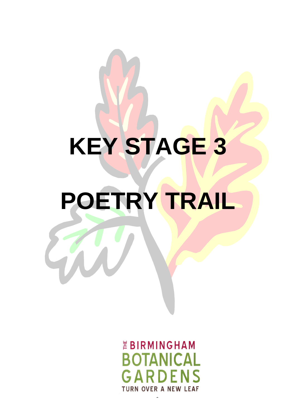# **KEY STAGE 3 POETRY TRAIL**

*EBIRMINGHAM* **BOTANICAL**  $\mathbf{G} \Delta$ **TURN OVER A NEW LEAF** 

1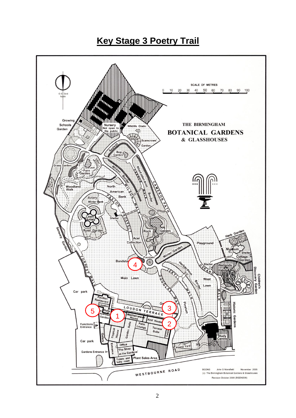# **Key Stage 3 Poetry Trail**

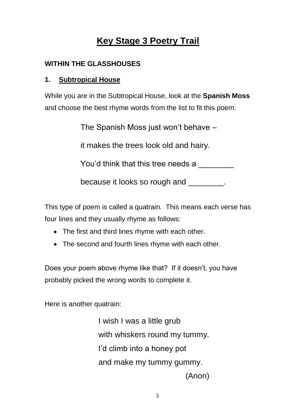# **Key Stage 3 Poetry Trail**

## **WITHIN THE GLASSHOUSES**

## **1. Subtropical House**

While you are in the Subtropical House, look at the **Spanish Moss** and choose the best rhyme words from the list to fit this poem:

The Spanish Moss just won't behave –

it makes the trees look old and hairy.

You'd think that this tree needs a

because it looks so rough and  $\qquad \qquad$ .

This type of poem is called a quatrain. This means each verse has four lines and they usually rhyme as follows:

- The first and third lines rhyme with each other.
- The second and fourth lines rhyme with each other.

Does your poem above rhyme like that? If it doesn't, you have probably picked the wrong words to complete it.

Here is another quatrain:

I wish I was a little grub with whiskers round my tummy. I'd climb into a honey pot and make my tummy gummy. (Anon)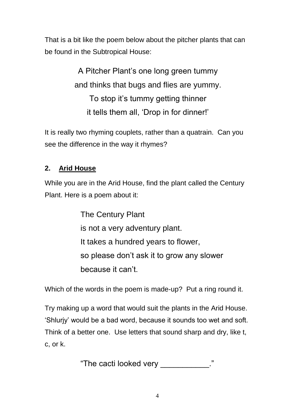That is a bit like the poem below about the pitcher plants that can be found in the Subtropical House:

> A Pitcher Plant's one long green tummy and thinks that bugs and flies are yummy. To stop it's tummy getting thinner it tells them all, 'Drop in for dinner!'

It is really two rhyming couplets, rather than a quatrain. Can you see the difference in the way it rhymes?

## **2. Arid House**

While you are in the Arid House, find the plant called the Century Plant. Here is a poem about it:

> The Century Plant is not a very adventury plant. It takes a hundred years to flower, so please don't ask it to grow any slower because it can't.

Which of the words in the poem is made-up? Put a ring round it.

Try making up a word that would suit the plants in the Arid House. 'Shlurjy' would be a bad word, because it sounds too wet and soft. Think of a better one. Use letters that sound sharp and dry, like t, c, or k.

"The cacti looked very \_\_\_\_\_\_\_\_\_\_\_."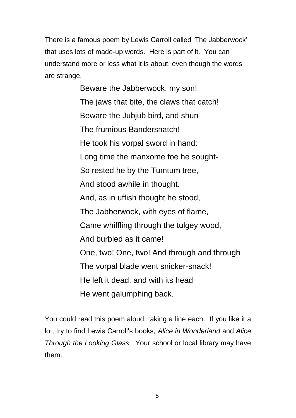There is a famous poem by Lewis Carroll called 'The Jabberwock' that uses lots of made-up words. Here is part of it. You can understand more or less what it is about, even though the words are strange.

> Beware the Jabberwock, my son! The jaws that bite, the claws that catch! Beware the Jubjub bird, and shun The frumious Bandersnatch! He took his vorpal sword in hand: Long time the manxome foe he sought-So rested he by the Tumtum tree, And stood awhile in thought. And, as in uffish thought he stood, The Jabberwock, with eyes of flame, Came whiffling through the tulgey wood, And burbled as it came! One, two! One, two! And through and through The vorpal blade went snicker-snack! He left it dead, and with its head He went galumphing back.

You could read this poem aloud, taking a line each. If you like it a lot, try to find Lewis Carroll's books, *Alice in Wonderland* and *Alice Through the Looking Glass*. Your school or local library may have them.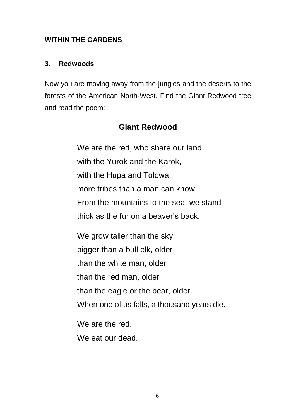#### **WITHIN THE GARDENS**

#### **3. Redwoods**

Now you are moving away from the jungles and the deserts to the forests of the American North-West. Find the Giant Redwood tree and read the poem:

# **Giant Redwood**

We are the red, who share our land with the Yurok and the Karok, with the Hupa and Tolowa, more tribes than a man can know. From the mountains to the sea, we stand thick as the fur on a beaver's back.

We grow taller than the sky, bigger than a bull elk, older than the white man, older than the red man, older than the eagle or the bear, older. When one of us falls, a thousand years die.

We are the red.

We eat our dead.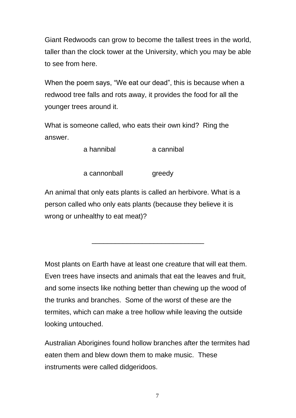Giant Redwoods can grow to become the tallest trees in the world, taller than the clock tower at the University, which you may be able to see from here.

When the poem says, "We eat our dead", this is because when a redwood tree falls and rots away, it provides the food for all the younger trees around it.

What is someone called, who eats their own kind? Ring the answer.

a hannibal a cannibal

a cannonball greedy

An animal that only eats plants is called an herbivore. What is a person called who only eats plants (because they believe it is wrong or unhealthy to eat meat)?

\_\_\_\_\_\_\_\_\_\_\_\_\_\_\_\_\_\_\_\_\_\_\_\_\_\_\_\_\_

Most plants on Earth have at least one creature that will eat them. Even trees have insects and animals that eat the leaves and fruit, and some insects like nothing better than chewing up the wood of the trunks and branches. Some of the worst of these are the termites, which can make a tree hollow while leaving the outside looking untouched.

Australian Aborigines found hollow branches after the termites had eaten them and blew down them to make music. These instruments were called didgeridoos.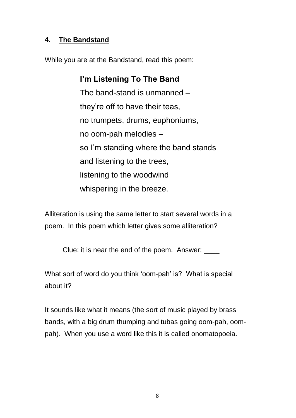#### **4. The Bandstand**

While you are at the Bandstand, read this poem:

# **I'm Listening To The Band**

The band-stand is unmanned – they're off to have their teas, no trumpets, drums, euphoniums, no oom-pah melodies – so I'm standing where the band stands and listening to the trees, listening to the woodwind whispering in the breeze.

Alliteration is using the same letter to start several words in a poem. In this poem which letter gives some alliteration?

Clue: it is near the end of the poem. Answer:

What sort of word do you think 'oom-pah' is? What is special about it?

It sounds like what it means (the sort of music played by brass bands, with a big drum thumping and tubas going oom-pah, oompah). When you use a word like this it is called onomatopoeia.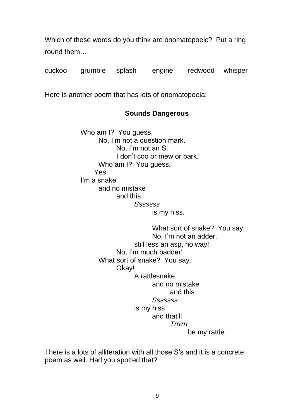Which of these words do you think are onomatopoeic? Put a ring round them…

cuckoo grumble splash engine redwood whisper

Here is another poem that has lots of onomatopoeia:

#### **Sounds Dangerous**

Who am I? You guess. No, I'm not a question mark. No, I'm not an S. I don't coo or mew or bark. Who am I? You guess. Yes! I'm a snake and no mistake and this *Sssssss* is my hiss.

> What sort of snake? You say. No, I'm not an adder, still less an asp, no way! No, I'm much badder! What sort of snake? You say. Okay! A rattlesnake and no mistake and this *Sssssss* is my hiss and that'll *Trrrrrr* be my rattle.

There is a lots of alliteration with all those S's and it is a concrete poem as well. Had you spotted that?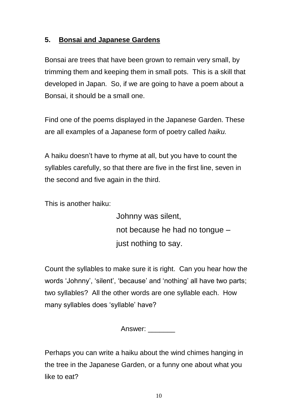#### **5. Bonsai and Japanese Gardens**

Bonsai are trees that have been grown to remain very small, by trimming them and keeping them in small pots. This is a skill that developed in Japan. So, if we are going to have a poem about a Bonsai, it should be a small one.

Find one of the poems displayed in the Japanese Garden. These are all examples of a Japanese form of poetry called *haiku.* 

A haiku doesn't have to rhyme at all, but you have to count the syllables carefully, so that there are five in the first line, seven in the second and five again in the third.

This is another haiku:

Johnny was silent, not because he had no tongue – just nothing to say.

Count the syllables to make sure it is right. Can you hear how the words 'Johnny', 'silent', 'because' and 'nothing' all have two parts; two syllables? All the other words are one syllable each. How many syllables does 'syllable' have?

Answer: \_\_\_\_\_\_\_

Perhaps you can write a haiku about the wind chimes hanging in the tree in the Japanese Garden, or a funny one about what you like to eat?